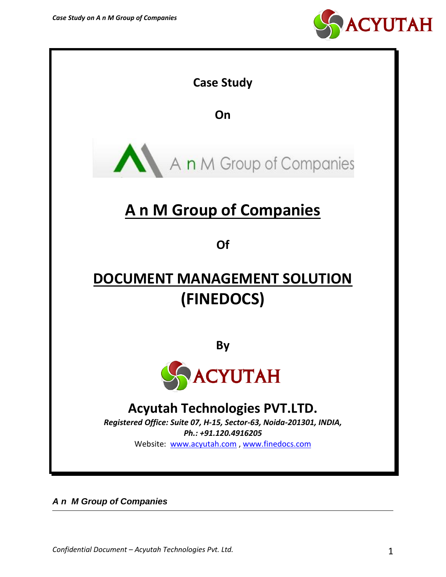



*A n M Group of Companies*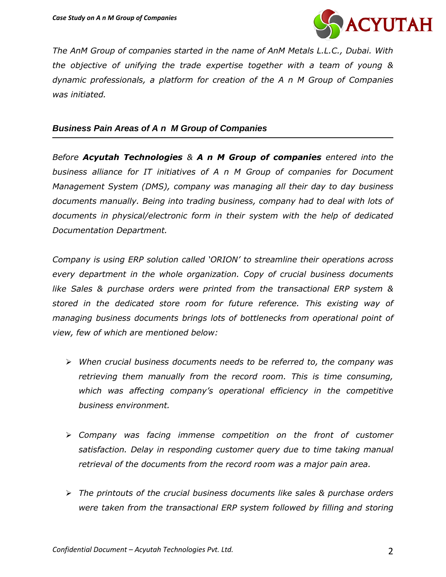

*The AnM Group of companies started in the name of AnM Metals L.L.C., Dubai. With the objective of unifying the trade expertise together with a team of young & dynamic professionals, a platform for creation of the A n M Group of Companies was initiated.*

### *Business Pain Areas of A n M Group of Companies*

*Before Acyutah Technologies & A n M Group of companies entered into the business alliance for IT initiatives of A n M Group of companies for Document Management System (DMS), company was managing all their day to day business documents manually. Being into trading business, company had to deal with lots of documents in physical/electronic form in their system with the help of dedicated Documentation Department.*

*Company is using ERP solution called 'ORION' to streamline their operations across every department in the whole organization. Copy of crucial business documents like Sales & purchase orders were printed from the transactional ERP system & stored in the dedicated store room for future reference. This existing way of managing business documents brings lots of bottlenecks from operational point of view, few of which are mentioned below:*

- *When crucial business documents needs to be referred to, the company was retrieving them manually from the record room. This is time consuming, which was affecting company's operational efficiency in the competitive business environment.*
- *Company was facing immense competition on the front of customer satisfaction. Delay in responding customer query due to time taking manual retrieval of the documents from the record room was a major pain area.*
- *The printouts of the crucial business documents like sales & purchase orders were taken from the transactional ERP system followed by filling and storing*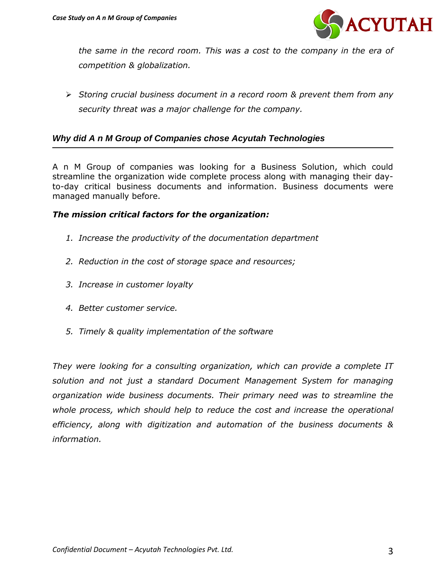

*the same in the record room. This was a cost to the company in the era of competition & globalization.*

 *Storing crucial business document in a record room & prevent them from any security threat was a major challenge for the company.* 

# *Why did A n M Group of Companies chose Acyutah Technologies*

A n M Group of companies was looking for a Business Solution, which could streamline the organization wide complete process along with managing their dayto-day critical business documents and information. Business documents were managed manually before.

## *The mission critical factors for the organization:*

- *1. Increase the productivity of the documentation department*
- *2. Reduction in the cost of storage space and resources;*
- *3. Increase in customer loyalty*
- *4. Better customer service.*
- *5. Timely & quality implementation of the software*

*They were looking for a consulting organization, which can provide a complete IT solution and not just a standard Document Management System for managing organization wide business documents. Their primary need was to streamline the whole process, which should help to reduce the cost and increase the operational efficiency, along with digitization and automation of the business documents & information.*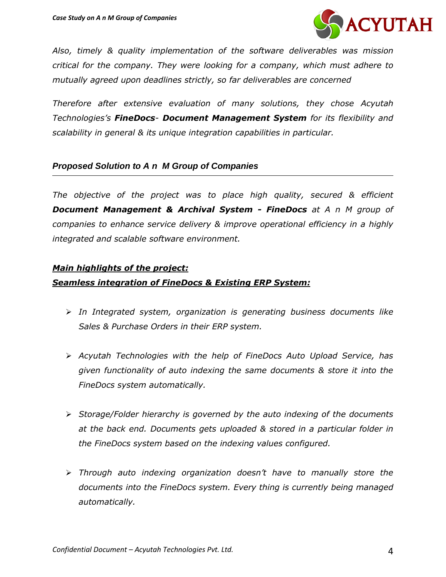

*Also, timely & quality implementation of the software deliverables was mission critical for the company. They were looking for a company, which must adhere to mutually agreed upon deadlines strictly, so far deliverables are concerned*

*Therefore after extensive evaluation of many solutions, they chose Acyutah Technologies's FineDocs- Document Management System for its flexibility and scalability in general & its unique integration capabilities in particular.* 

## *Proposed Solution to A n M Group of Companies*

*The objective of the project was to place high quality, secured & efficient Document Management & Archival System - FineDocs at A n M group of companies to enhance service delivery & improve operational efficiency in a highly integrated and scalable software environment.*

#### *Main highlights of the project:*

#### *Seamless integration of FineDocs & Existing ERP System:*

- *In Integrated system, organization is generating business documents like Sales & Purchase Orders in their ERP system.*
- *Acyutah Technologies with the help of FineDocs Auto Upload Service, has given functionality of auto indexing the same documents & store it into the FineDocs system automatically.*
- *Storage/Folder hierarchy is governed by the auto indexing of the documents at the back end. Documents gets uploaded & stored in a particular folder in the FineDocs system based on the indexing values configured.*
- *Through auto indexing organization doesn't have to manually store the documents into the FineDocs system. Every thing is currently being managed automatically.*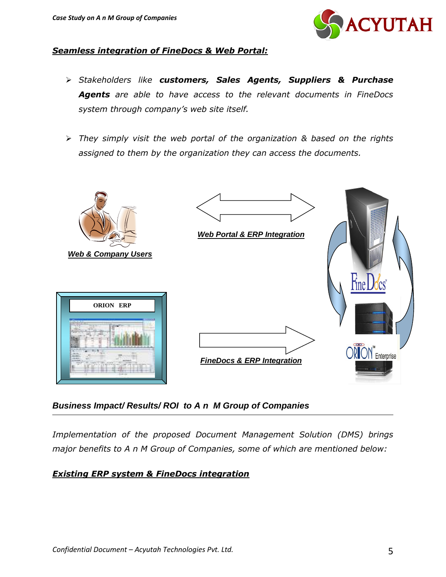

### *Seamless integration of FineDocs & Web Portal:*

- *Stakeholders like customers, Sales Agents, Suppliers & Purchase Agents are able to have access to the relevant documents in FineDocs system through company's web site itself.*
- *They simply visit the web portal of the organization & based on the rights assigned to them by the organization they can access the documents.*



# *Business Impact/ Results/ ROI to A n M Group of Companies*

*Implementation of the proposed Document Management Solution (DMS) brings major benefits to A n M Group of Companies, some of which are mentioned below:*

## *Existing ERP system & FineDocs integration*